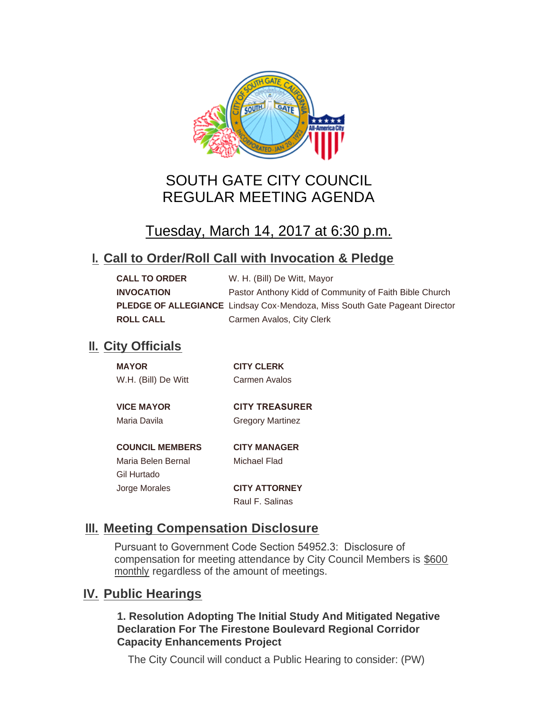

# SOUTH GATE CITY COUNCIL REGULAR MEETING AGENDA

# Tuesday, March 14, 2017 at 6:30 p.m.

## **Call to Order/Roll Call with Invocation & Pledge I.**

| <b>CALL TO ORDER</b> | W. H. (Bill) De Witt, Mayor                                                |
|----------------------|----------------------------------------------------------------------------|
| <b>INVOCATION</b>    | Pastor Anthony Kidd of Community of Faith Bible Church                     |
|                      | PLEDGE OF ALLEGIANCE Lindsay Cox-Mendoza, Miss South Gate Pageant Director |
| <b>ROLL CALL</b>     | Carmen Avalos, City Clerk                                                  |

## **II.** City Officials

| <b>MAYOR</b>           | <b>CITY CLERK</b>       |
|------------------------|-------------------------|
| W.H. (Bill) De Witt    | Carmen Avalos           |
|                        |                         |
| <b>VICE MAYOR</b>      | <b>CITY TREASURER</b>   |
| Maria Davila           | <b>Gregory Martinez</b> |
|                        |                         |
| <b>COUNCIL MEMBERS</b> | <b>CITY MANAGER</b>     |
| Maria Belen Bernal     | Michael Flad            |
| Gil Hurtado            |                         |
| Jorge Morales          | <b>CITY ATTORNEY</b>    |

Raul F. Salinas

## **Meeting Compensation Disclosure III.**

Pursuant to Government Code Section 54952.3: Disclosure of compensation for meeting attendance by City Council Members is \$600 monthly regardless of the amount of meetings.

## **IV.** Public Hearings

#### **1. Resolution Adopting The Initial Study And Mitigated Negative Declaration For The Firestone Boulevard Regional Corridor Capacity Enhancements Project**

The City Council will conduct a Public Hearing to consider: (PW)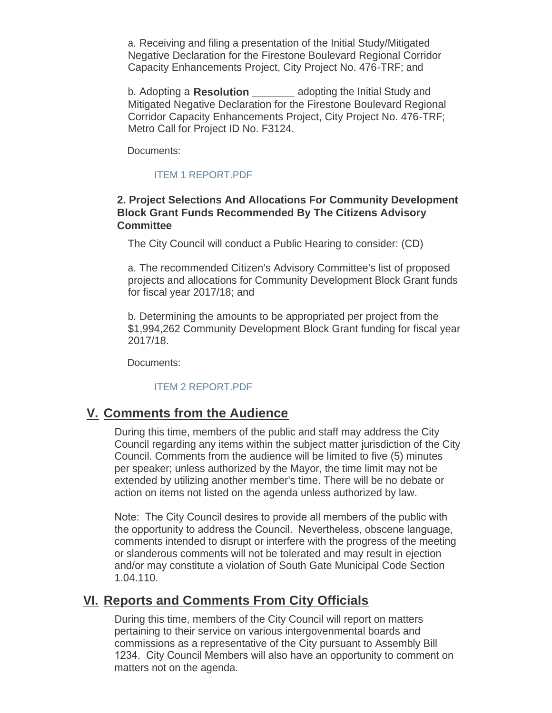a. Receiving and filing a presentation of the Initial Study/Mitigated Negative Declaration for the Firestone Boulevard Regional Corridor Capacity Enhancements Project, City Project No. 476-TRF; and

b. Adopting a **Resolution \_\_\_\_\_\_\_** adopting the Initial Study and Mitigated Negative Declaration for the Firestone Boulevard Regional Corridor Capacity Enhancements Project, City Project No. 476-TRF; Metro Call for Project ID No. F3124.

Documents:

#### [ITEM 1 REPORT.PDF](http://cityofsouthgate.org/AgendaCenter/ViewFile/Item/3843?fileID=9465)

#### **2. Project Selections And Allocations For Community Development Block Grant Funds Recommended By The Citizens Advisory Committee**

The City Council will conduct a Public Hearing to consider: (CD)

a. The recommended Citizen's Advisory Committee's list of proposed projects and allocations for Community Development Block Grant funds for fiscal year 2017/18; and

b. Determining the amounts to be appropriated per project from the \$1,994,262 Community Development Block Grant funding for fiscal year 2017/18.

Documents:

#### [ITEM 2 REPORT.PDF](http://cityofsouthgate.org/AgendaCenter/ViewFile/Item/3850?fileID=9472)

#### **Comments from the Audience V.**

During this time, members of the public and staff may address the City Council regarding any items within the subject matter jurisdiction of the City Council. Comments from the audience will be limited to five (5) minutes per speaker; unless authorized by the Mayor, the time limit may not be extended by utilizing another member's time. There will be no debate or action on items not listed on the agenda unless authorized by law.

Note: The City Council desires to provide all members of the public with the opportunity to address the Council. Nevertheless, obscene language, comments intended to disrupt or interfere with the progress of the meeting or slanderous comments will not be tolerated and may result in ejection and/or may constitute a violation of South Gate Municipal Code Section 1.04.110.

### **Reports and Comments From City Officials VI.**

During this time, members of the City Council will report on matters pertaining to their service on various intergovenmental boards and commissions as a representative of the City pursuant to Assembly Bill 1234. City Council Members will also have an opportunity to comment on matters not on the agenda.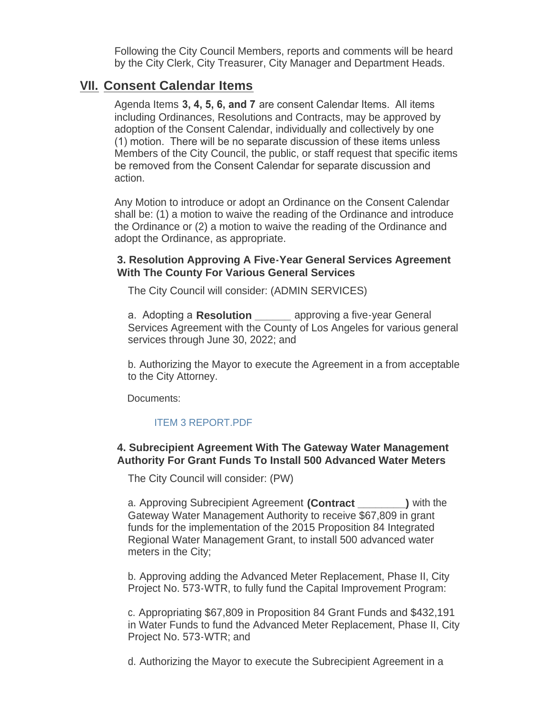Following the City Council Members, reports and comments will be heard by the City Clerk, City Treasurer, City Manager and Department Heads.

### **Consent Calendar Items VII.**

Agenda Items **3, 4, 5, 6, and 7** are consent Calendar Items. All items including Ordinances, Resolutions and Contracts, may be approved by adoption of the Consent Calendar, individually and collectively by one (1) motion. There will be no separate discussion of these items unless Members of the City Council, the public, or staff request that specific items be removed from the Consent Calendar for separate discussion and action.

Any Motion to introduce or adopt an Ordinance on the Consent Calendar shall be: (1) a motion to waive the reading of the Ordinance and introduce the Ordinance or (2) a motion to waive the reading of the Ordinance and adopt the Ordinance, as appropriate.

#### **3. Resolution Approving A Five-Year General Services Agreement With The County For Various General Services**

The City Council will consider: (ADMIN SERVICES)

a. Adopting a **Resolution** approving a five-year General Services Agreement with the County of Los Angeles for various general services through June 30, 2022; and

b. Authorizing the Mayor to execute the Agreement in a from acceptable to the City Attorney.

Documents:

#### [ITEM 3 REPORT.PDF](http://cityofsouthgate.org/AgendaCenter/ViewFile/Item/3851?fileID=9473)

#### **4. Subrecipient Agreement With The Gateway Water Management Authority For Grant Funds To Install 500 Advanced Water Meters**

The City Council will consider: (PW)

a. Approving Subrecipient Agreement **(Contract \_\_\_\_\_\_\_\_)** with the Gateway Water Management Authority to receive \$67,809 in grant funds for the implementation of the 2015 Proposition 84 Integrated Regional Water Management Grant, to install 500 advanced water meters in the City;

b. Approving adding the Advanced Meter Replacement, Phase II, City Project No. 573-WTR, to fully fund the Capital Improvement Program:

c. Appropriating \$67,809 in Proposition 84 Grant Funds and \$432,191 in Water Funds to fund the Advanced Meter Replacement, Phase II, City Project No. 573-WTR; and

d. Authorizing the Mayor to execute the Subrecipient Agreement in a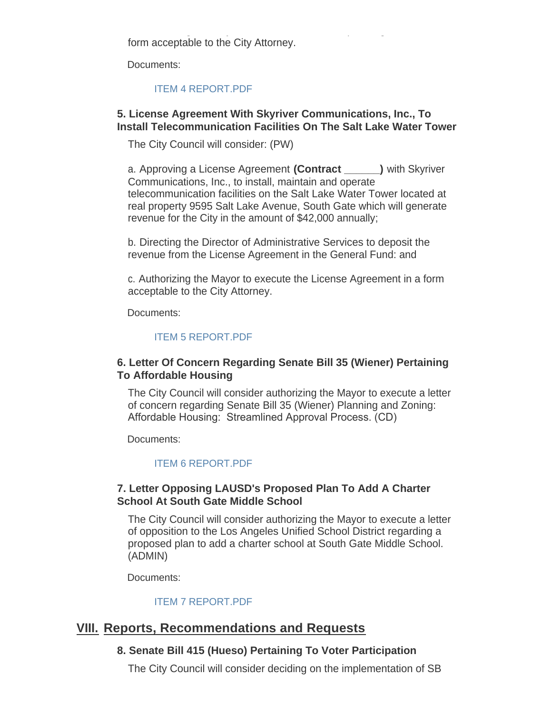d. Authorizing the Mayor to execute the Subrecipient Agreement in a form acceptable to the City Attorney.

Documents:

#### [ITEM 4 REPORT.PDF](http://cityofsouthgate.org/AgendaCenter/ViewFile/Item/3844?fileID=9469)

#### **5. License Agreement With Skyriver Communications, Inc., To Install Telecommunication Facilities On The Salt Lake Water Tower**

The City Council will consider: (PW)

a. Approving a License Agreement **(Contract \_\_\_\_\_\_)** with Skyriver Communications, Inc., to install, maintain and operate telecommunication facilities on the Salt Lake Water Tower located at real property 9595 Salt Lake Avenue, South Gate which will generate revenue for the City in the amount of \$42,000 annually;

b. Directing the Director of Administrative Services to deposit the revenue from the License Agreement in the General Fund: and

c. Authorizing the Mayor to execute the License Agreement in a form acceptable to the City Attorney.

Documents:

#### [ITEM 5 REPORT.PDF](http://cityofsouthgate.org/AgendaCenter/ViewFile/Item/3845?fileID=9475)

#### **6. Letter Of Concern Regarding Senate Bill 35 (Wiener) Pertaining To Affordable Housing**

The City Council will consider authorizing the Mayor to execute a letter of concern regarding Senate Bill 35 (Wiener) Planning and Zoning: Affordable Housing: Streamlined Approval Process. (CD)

Documents:

#### [ITEM 6 REPORT.PDF](http://cityofsouthgate.org/AgendaCenter/ViewFile/Item/3846?fileID=9467)

#### **7. Letter Opposing LAUSD's Proposed Plan To Add A Charter School At South Gate Middle School**

The City Council will consider authorizing the Mayor to execute a letter of opposition to the Los Angeles Unified School District regarding a proposed plan to add a charter school at South Gate Middle School. (ADMIN)

Documents:

#### [ITEM 7 REPORT.PDF](http://cityofsouthgate.org/AgendaCenter/ViewFile/Item/3847?fileID=9468)

## **Reports, Recommendations and Requests VIII.**

#### **8. Senate Bill 415 (Hueso) Pertaining To Voter Participation**

The City Council will consider deciding on the implementation of SB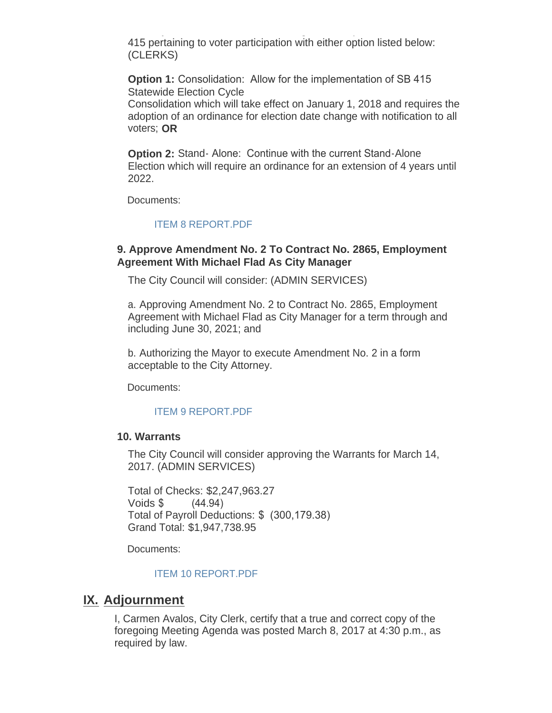The City Council will consider deciding on the implementation of  $\mathcal{L}_\mathcal{S}$ 415 pertaining to voter participation with either option listed below: (CLERKS)

**Option 1:** Consolidation: Allow for the implementation of SB 415 Statewide Election Cycle

Consolidation which will take effect on January 1, 2018 and requires the adoption of an ordinance for election date change with notification to all voters; **OR**

**Option 2:** Stand- Alone: Continue with the current Stand-Alone Election which will require an ordinance for an extension of 4 years until 2022.

Documents:

#### [ITEM 8 REPORT.PDF](http://cityofsouthgate.org/AgendaCenter/ViewFile/Item/3848?fileID=9470)

#### **9. Approve Amendment No. 2 To Contract No. 2865, Employment Agreement With Michael Flad As City Manager**

The City Council will consider: (ADMIN SERVICES)

a. Approving Amendment No. 2 to Contract No. 2865, Employment Agreement with Michael Flad as City Manager for a term through and including June 30, 2021; and

b. Authorizing the Mayor to execute Amendment No. 2 in a form acceptable to the City Attorney.

Documents:

#### [ITEM 9 REPORT.PDF](http://cityofsouthgate.org/AgendaCenter/ViewFile/Item/3852?fileID=9474)

#### **10. Warrants**

The City Council will consider approving the Warrants for March 14, 2017. (ADMIN SERVICES)

Total of Checks: \$2,247,963.27 Voids \$ (44.94) Total of Payroll Deductions: \$ (300,179.38) Grand Total: \$1,947,738.95

Documents:

#### [ITEM 10 REPORT.PDF](http://cityofsouthgate.org/AgendaCenter/ViewFile/Item/3849?fileID=9471)

### **IX. Adjournment**

I, Carmen Avalos, City Clerk, certify that a true and correct copy of the foregoing Meeting Agenda was posted March 8, 2017 at 4:30 p.m., as required by law.